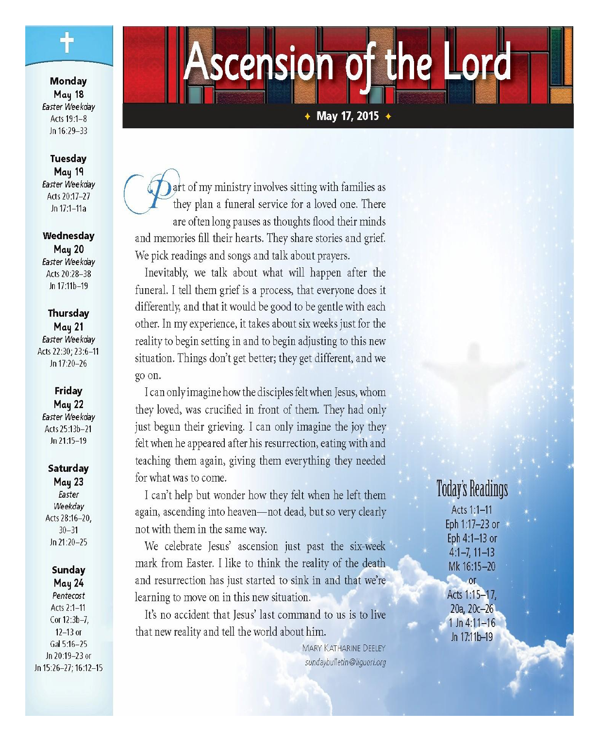Monday May 18 Easter Weekdav Acts 19:1-8 Jn 16:29-33

#### **Tuesday** May 19 Easter Weekdav Acts 20:17-27 Jn 17:1-11a

Wednesday **May 20** Easter Weekday Acts 20:28-38 Jn 17:11b-19

Thursday **May 21** Easter Weekday Acts 22:30: 23:6-11 Jn 17:20-26

#### Friday **May 22**

Easter Weekday Acts 25:13b-21 Jn 21:15-19

#### Saturday May 23 Easter Weekday Acts 28:16-20,  $30 - 31$

## Sunday **May 24**

 $Jn$  21:20-25

Pentecost Acts 2:1-11 Cor 12:3b-7,  $12-13$  or Gal 5:16-25 Jn 20:19-23 or Jn 15:26-27; 16:12-15

# scension of the Lord

 $\overline{\text{+}$  May 17, 2015  $\overline{\text{+}}$ 

art of my ministry involves sitting with families as they plan a funeral service for a loved one. There are often long pauses as thoughts flood their minds and memories fill their hearts. They share stories and grief. We pick readings and songs and talk about prayers.

Inevitably, we talk about what will happen after the funeral. I tell them grief is a process, that everyone does it differently, and that it would be good to be gentle with each other. In my experience, it takes about six weeks just for the reality to begin setting in and to begin adjusting to this new situation. Things don't get better; they get different, and we go on.

I can only imagine how the disciples felt when Jesus, whom they loved, was crucified in front of them. They had only just begun their grieving. I can only imagine the joy they felt when he appeared after his resurrection, eating with and teaching them again, giving them everything they needed for what was to come.

I can't help but wonder how they felt when he left them again, ascending into heaven-not dead, but so very clearly not with them in the same way.

We celebrate Jesus' ascension just past the six-week mark from Easter. I like to think the reality of the death and resurrection has just started to sink in and that we're learning to move on in this new situation.

It's no accident that Jesus' last command to us is to live that new reality and tell the world about him.

> MARY KATHARINE DEELEY sundaybulletin@liguori.org

## **Today's Readings**

Acts 1:1-11 Eph 1:17-23 or Eph 4:1-13 or  $4:1-7, 11-13$ Mk 16:15-20

Acts 1:15-17, 20a, 20c-26  $1 \ln 4:11 - 16$ Jn 17:11b-19

or.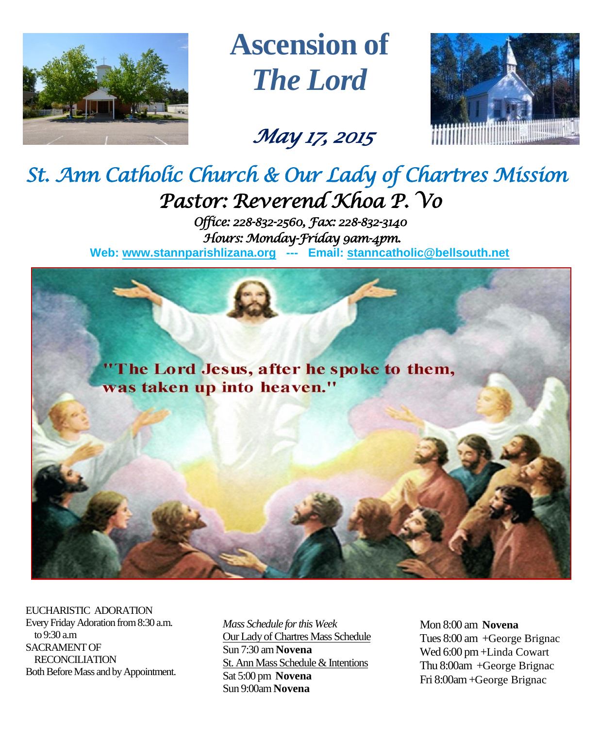

**Ascension of** *The Lord*

# *May 17, 2015*



# *St. Ann Catholic Church & Our Lady of Chartres Mission Pastor: Reverend Khoa P. Vo*

*Office: 228-832-2560, Fax: 228-832-3140 Hours: Monday-Friday 9am-4pm.*  **Web: www.stannparishlizana.org --- Email: [stanncatholic@bellsouth.net](mailto:stanncatholic@bellsouth.net)**



EUCHARISTIC ADORATION Every Friday Adoration from 8:30 a.m. to 9:30 a.m SACRAMENT OF RECONCILIATION Both Before Mass and by Appointment.

*Mass Schedule for this Week*  Our Lady of Chartres Mass Schedule Sun 7:30 am **Novena** St. Ann Mass Schedule & Intentions Sat 5:00 pm **Novena** Sun 9:00am **Novena**

Mon 8:00 am **Novena** Tues 8:00 am +George Brignac Wed 6:00 pm +Linda Cowart Thu 8:00am +George Brignac Fri 8:00am+George Brignac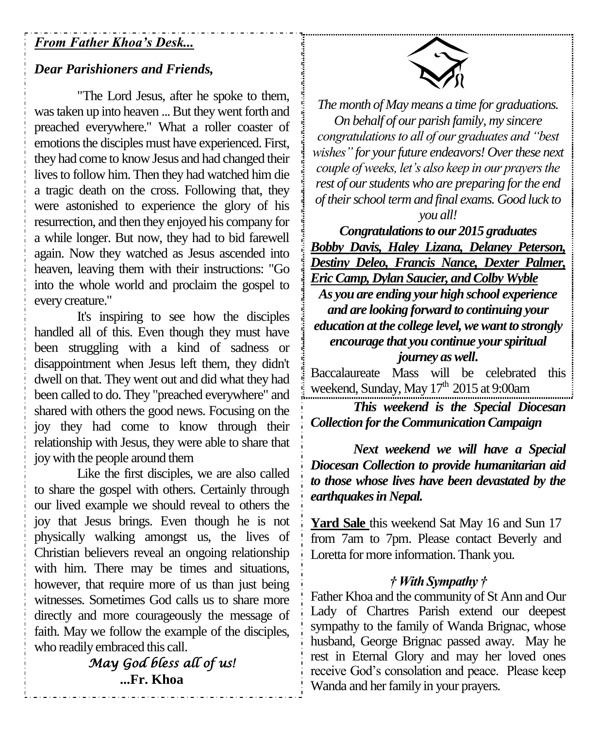### *From Father Khoa's Desk...*

### *Dear Parishioners and Friends,*

"The Lord Jesus, after he spoke to them, was taken up into heaven ... But they went forth and preached everywhere." What a roller coaster of emotions the disciples must have experienced. First, they had come to know Jesus and had changed their lives to follow him. Then they had watched him die a tragic death on the cross. Following that, they were astonished to experience the glory of his resurrection, and then they enjoyed his company for a while longer. But now, they had to bid farewell again. Now they watched as Jesus ascended into heaven, leaving them with their instructions: "Go into the whole world and proclaim the gospel to every creature."

It's inspiring to see how the disciples handled all of this. Even though they must have been struggling with a kind of sadness or disappointment when Jesus left them, they didn't dwell on that. They went out and did what they had been called to do. They "preached everywhere" and shared with others the good news. Focusing on the joy they had come to know through their relationship with Jesus, they were able to share that joy with the people around them

Like the first disciples, we are also called to share the gospel with others. Certainly through our lived example we should reveal to others the joy that Jesus brings. Even though he is not physically walking amongst us, the lives of Christian believers reveal an ongoing relationship with him. There may be times and situations, however, that require more of us than just being witnesses. Sometimes God calls us to share more directly and more courageously the message of faith. May we follow the example of the disciples, who readily embraced this call.

> *May God bless all of us!*  **...Fr. Khoa**



*The month of May means a time for graduations. On behalf of our parish family, my sincere congratulations to all of our graduates and "best wishes" for your future endeavors! Over these next couple of weeks, let's also keep in our prayers the rest of our students who are preparing for the end of their school term and final exams. Good luck to you all!*

*Congratulations to our 2015 graduates Bobby Davis, Haley Lizana, Delaney Peterson, Destiny Deleo, Francis Nance, Dexter Palmer, Eric Camp, Dylan Saucier, and Colby Wyble As you are ending your high school experience and are looking forward to continuing your education at the college level, we want to strongly encourage that you continue your spiritual journey as well***.**

Baccalaureate Mass will be celebrated this weekend, Sunday, May 17<sup>th</sup> 2015 at 9:00am

*This weekend is the Special Diocesan Collection for the Communication Campaign*

*Next weekend we will have a Special Diocesan Collection to provide humanitarian aid to those whose lives have been devastated by the earthquakes in Nepal.*

**Yard Sale** this weekend Sat May 16 and Sun 17 from 7am to 7pm. Please contact Beverly and Loretta for more information. Thank you.

### *† With Sympathy †*

Father Khoa and the community of St Ann and Our Lady of Chartres Parish extend our deepest sympathy to the family of Wanda Brignac, whose husband, George Brignac passed away. May he rest in Eternal Glory and may her loved ones receive God's consolation and peace. Please keep Wanda and her family in your prayers.